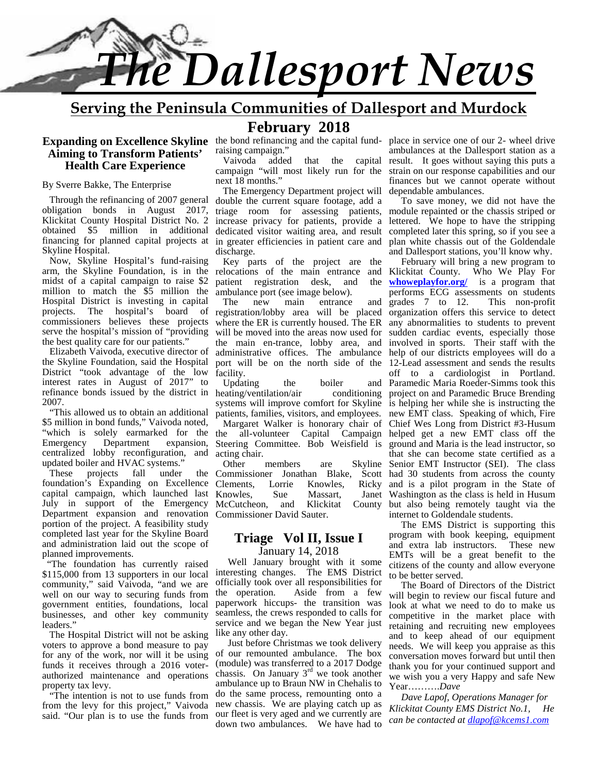

# **Serving the Peninsula Communities of Dallesport and Murdock**

# **Aiming to Transform Patients' Health Care Experience**

By Sverre Bakke, The Enterprise

Through the refinancing of 2007 general obligation bonds in August 2017, Klickitat County Hospital District No. 2 obtained \$5 million in additional financing for planned capital projects at Skyline Hospital.

Now, Skyline Hospital's fund-raising arm, the Skyline Foundation, is in the midst of a capital campaign to raise \$2 million to match the \$5 million the Hospital District is investing in capital projects. The hospital's board of commissioners believes these projects serve the hospital's mission of "providing the best quality care for our patients."

Elizabeth Vaivoda, executive director of the Skyline Foundation, said the Hospital District "took advantage of the low interest rates in August of 2017" to Updating refinance bonds issued by the district in 2007.

 "This allowed us to obtain an additional \$5 million in bond funds," Vaivoda noted, "which is solely earmarked for the the Emergency Department expansion, centralized lobby reconfiguration, and updated boiler and HVAC systems."<br>These projects fall under

projects fall under the foundation's Expanding on Excellence Clements, capital campaign, which launched last Knowles, July in support of the Emergency Department expansion and renovation Commissioner David Sauter. portion of the project. A feasibility study completed last year for the Skyline Board and administration laid out the scope of planned improvements.

 "The foundation has currently raised \$115,000 from 13 supporters in our local community," said Vaivoda, "and we are officially took of well on our way to securing funds from the operation. well on our way to securing funds from government entities, foundations, local businesses, and other key community leaders."

The Hospital District will not be asking voters to approve a bond measure to pay for any of the work, nor will it be using funds it receives through a 2016 voter authorized maintenance and operations property tax levy.

 "The intention is not to use funds from from the levy for this project," Vaivoda said. "Our plan is to use the funds from

**February 2018** raising campaign."

Vaivoda added that the capital campaign "will most likely run for the next 18 months.'

The Emergency Department project will double the current square footage, add a triage room for assessing patients, increase privacy for patients, provide a dedicated visitor waiting area, and result in greater efficiencies in patient care and discharge.

Key parts of the project are the relocations of the main entrance and patient registration desk, and the ambulance port (see image below).

new main entrance and registration/lobby area will be placed where the ER is currently housed. The ER will be moved into the areas now used for the main en-trance, lobby area, and administrative offices. The ambulance port will be on the north side of the facility.

heating/ventilation/air conditioning systems will improve comfort for Skyline patients, families, visitors, and employees.

Margaret Walker is honorary chair of Steering Committee. Bob Weisfield is acting chair.

Other members are Skyline McCutcheon, and Klickitat County

#### **Triage Vol II, Issue I** January 14, 2018

Well January brought with it some interesting changes. The EMS District officially took over all responsibilities for Aside from a few paperwork hiccups- the transition was seamless, the crews responded to calls for service and we began the New Year just like any other day.

Just before Christmas we took delivery of our remounted ambulance. The box (module) was transferred to a 2017 Dodge chassis. On January  $3<sup>rd</sup>$  we took another ambulance up to Braun NW in Chehalis to do the same process, remounting onto a new chassis. We are playing catch up as our fleet is very aged and we currently are down two ambulances. We have had to

**Expanding on Excellence Skyline** the bond refinancing and the capital fund- place in service one of our 2- wheel drive ambulances at the Dallesport station as a result. It goes without saying this puts a strain on our response capabilities and our finances but we cannot operate without dependable ambulances.

> To save money, we did not have the module repainted or the chassis striped or lettered. We hope to have the stripping completed later this spring, so if you see a plan white chassis out of the Goldendale and Dallesport stations, you'll know why.

Updating the boiler and Paramedic Maria Roeder-Simms took this the all-volunteer Capital Campaign helped get a new EMT class off the Commissioner Jonathan Blake, Scott had 30 students from across the county Clements, Lorrie Knowles, Ricky and is a pilot program in the State of Knowles, Sue Massart, Janet Washington as the class is held in Husum February will bring a new program to Klickitat County. Who We Play For **whoweplayfor.org/** is a program that performs ECG assessments on students grades 7 to 12. This non-profit organization offers this service to detect any abnormalities to students to prevent sudden cardiac events, especially those involved in sports. Their staff with the help of our districts employees will do a 12-Lead assessment and sends the results off to a cardiologist in Portland. project on and Paramedic Bruce Brending is helping her while she is instructing the new EMT class. Speaking of which, Fire Chief Wes Long from District #3-Husum ground and Maria is the lead instructor, so that she can become state certified as a Senior EMT Instructor (SEI). The class but also being remotely taught via the internet to Goldendale students.

> The EMS District is supporting this program with book keeping, equipment and extra lab instructors. These new EMTs will be a great benefit to the citizens of the county and allow everyone to be better served.

> The Board of Directors of the District will begin to review our fiscal future and look at what we need to do to make us competitive in the market place with retaining and recruiting new employees and to keep ahead of our equipment needs. We will keep you appraise as this conversation moves forward but until then thank you for your continued support and we wish you a very Happy and safe New Year……….*Dave*

*Dave Lapof, Operations Manager for Klickitat County EMS District No.1, He can be contacted at dlapof@kcems1.com*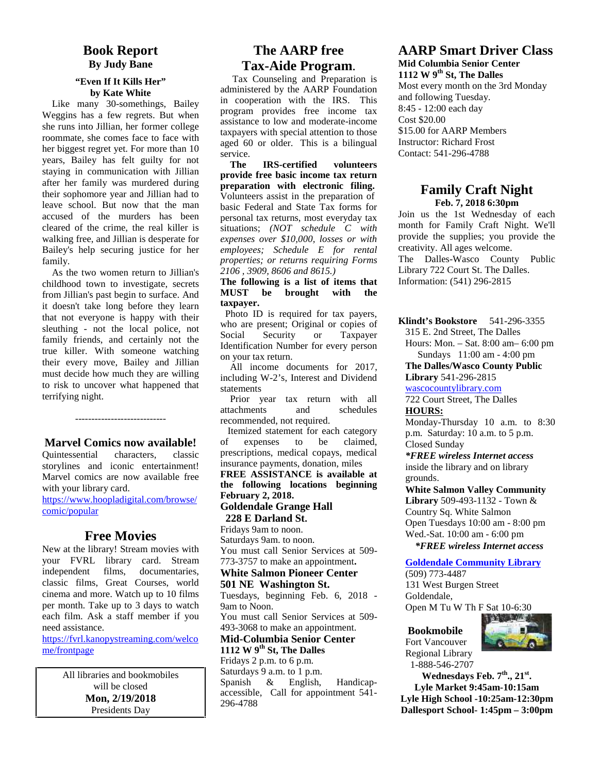## **Book Report By Judy Bane**

#### **"Even If It Kills Her" by Kate White**

 Like many 30-somethings, Bailey Weggins has a few regrets. But when she runs into Jillian, her former college roommate, she comes face to face with her biggest regret yet. For more than 10 years, Bailey has felt guilty for not staying in communication with Jillian after her family was murdered during their sophomore year and Jillian had to leave school. But now that the man accused of the murders has been cleared of the crime, the real killer is walking free, and Jillian is desperate for Bailey's help securing justice for her family.

 As the two women return to Jillian's childhood town to investigate, secrets **The foll**<br>from Hillian's past bogin to surface And **MUST** from Jillian's past begin to surface. And it doesn't take long before they learn that not everyone is happy with their sleuthing - not the local police, not family friends, and certainly not the Social true killer. With someone watching their every move, Bailey and Jillian must decide how much they are willing to risk to uncover what happened that terrifying night.

**Marvel Comics now available!**

----------------------------

Quintessential characters, classic storylines and iconic entertainment! Marvel comics are now available free with your library card.

https://www.hoopladigital.com/browse/ comic/popular

# **Free Movies**

New at the library! Stream movies with your FVRL library card. Stream independent films, documentaries, classic films, Great Courses, world cinema and more. Watch up to 10 films per month. Take up to 3 days to watch each film. Ask a staff member if you need assistance.

https://fvrl.kanopystreaming.com/welco me/frontpage

> All libraries and bookmobiles will be closed **Mon, 2/19/2018** Presidents Day

# **The AARP free Tax-Aide Program**.

 Tax Counseling and Preparation is administered by the AARP Foundation in cooperation with the IRS. This program provides free income tax assistance to low and moderate-income taxpayers with special attention to those aged 60 or older. This is a bilingual service.

**The IRS-certified volunteers provide free basic income tax return preparation with electronic filing.** Volunteers assist in the preparation of basic Federal and State Tax forms for personal tax returns, most everyday tax situations; *(NOT schedule C with expenses over \$10,000, losses or with employees; Schedule E for rental properties; or returns requiring Forms 2106 , 3909, 8606 and 8615.)*

#### **The following is a list of items that** be brought with the **taxpayer.**

Photo ID is required for tax payers, who are present; Original or copies of Security or Taxpayer Identification Number for every person on your tax return.

 All income documents for 2017, including W-2's, Interest and Dividend statements

Prior year tax return with all attachments and schedules recommended, not required.

Itemized statement for each category expenses to be claimed, prescriptions, medical copays, medical insurance payments, donation, miles

**FREE ASSISTANCE is available at the following locations beginning February 2, 2018.**

#### **Goldendale Grange Hall 228 E Darland St.**

Fridays 9am to noon. Saturdays 9am. to noon. You must call Senior Services at 509- 773-3757 to make an appointment**.**

# **White Salmon Pioneer Center**

**501 NE Washington St.**

Tuesdays, beginning Feb. 6, 2018 - 9am to Noon.

You must call Senior Services at 509- 493-3068 to make an appointment.

**Mid-Columbia Senior Center 1112 W 9th St, The Dalles**

Fridays 2 p.m. to 6 p.m. Saturdays 9 a.m. to 1 p.m.<br>Spanish & English, Spanish & English, Handicap accessible, Call for appointment 541- 296-4788

# **AARP Smart Driver Class Mid Columbia Senior Center**

**1112 W 9th St, The Dalles** Most every month on the 3rd Monday and following Tuesday. 8:45 - 12:00 each day Cost \$20.00 \$15.00 for AARP Members Instructor: Richard Frost Contact: 541-296-4788

## **Family Craft Night Feb. 7, 2018 6:30pm**

Join us the 1st Wednesday of each month for Family Craft Night. We'll provide the supplies; you provide the creativity. All ages welcome. The Dalles-Wasco County Public Library 722 Court St. The Dalles. Information: (541) 296-2815

**Klindt's Bookstore** 541-296-3355

315 E. 2nd Street, The Dalles Hours: Mon. – Sat. 8:00 am– 6:00 pm Sundays 11:00 am - 4:00 pm

**The Dalles/Wasco County Public Library** 541-296-2815

wascocountylibrary.com

722 Court Street, The Dalles **HOURS:**

Monday-Thursday 10 a.m. to 8:30 p.m. Saturday: 10 a.m. to 5 p.m. Closed Sunday

*\*FREE wireless Internet access* inside the library and on library

grounds.

**White Salmon Valley Community Library** 509-493-1132 - Town & Country Sq. White Salmon Open Tuesdays 10:00 am - 8:00 pm Wed.-Sat. 10:00 am - 6:00 pm  *\*FREE wireless Internet access*

#### **Goldendale Community Library**

(509) 773-4487 131 West Burgen Street Goldendale, Open M Tu W Th F Sat 10-6:30

#### **Bookmobile**



Fort Vancouver Regional Library 1-888-546-2707

**Wednesdays Feb. 7th., 21st. Lyle Market 9:45am-10:15am Lyle High School -10:25am-12:30pm Dallesport School- 1:45pm – 3:00pm**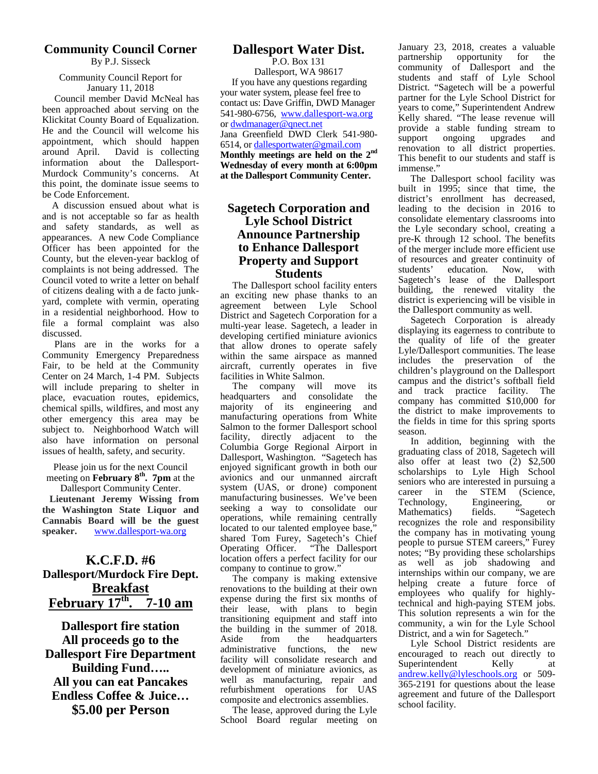#### **Community Council Corner** By P.J. Sisseck

#### Community Council Report for January 11, 2018

 Council member David McNeal has been approached about serving on the Klickitat County Board of Equalization. He and the Council will welcome his appointment, which should happen around April. David is collecting information about the Dallesport- Murdock Community's concerns. At this point, the dominate issue seems to be Code Enforcement.

A discussion ensued about what is and is not acceptable so far as health and safety standards, as well as appearances. A new Code Compliance Officer has been appointed for the County, but the eleven-year backlog of complaints is not being addressed. The Council voted to write a letter on behalf of citizens dealing with a de facto junk yard, complete with vermin, operating in a residential neighborhood. How to file a formal complaint was also discussed.

Plans are in the works for a Community Emergency Preparedness Fair, to be held at the Community Center on 24 March, 1-4 PM. Subjects will include preparing to shelter in place, evacuation routes, epidemics, chemical spills, wildfires, and most any other emergency this area may be subject to. Neighborhood Watch will also have information on personal issues of health, safety, and security.

Please join us for the next Council meeting on **February 8th . 7pm** at the Dallesport Community Center.

**Lieutenant Jeremy Wissing from the Washington State Liquor and Cannabis Board will be the guest speaker.** www.dallesport-wa.org

## **K.C.F.D. #6 Dallesport/Murdock Fire Dept. Breakfast February 17th . 7-10 am**

**Dallesport fire station All proceeds go to the Dallesport Fire Department Building Fund….. All you can eat Pancakes Endless Coffee & Juice… \$5.00 per Person**

# **Dallesport Water Dist.**

P.O. Box 131 Dallesport, WA 98617 If you have any questions regarding your water system, please feel free to contact us: Dave Griffin, DWD Manager 541-980-6756, www.dallesport-wa.org or dwdmanager@qnect.net Jana Greenfield DWD Clerk 541-980- 6514, or dallesportwater@gmail.com **Monthly meetings are held on the 2nd Wednesday of every month at 6:00pm at the Dallesport Community Center.**

## **Sagetech Corporation and Lyle School District Announce Partnership to Enhance Dallesport Property and Support Students**

The Dallesport school facility enters an exciting new phase thanks to an agreement between Lyle School agreement between Lyle District and Sagetech Corporation for a multi-year lease. Sagetech, a leader in developing certified miniature avionics that allow drones to operate safely within the same airspace as manned aircraft, currently operates in five facilities in White Salmon.

The company will move its headquarters and consolidate the majority of its engineering and manufacturing operations from White Salmon to the former Dallesport school facility, directly adjacent to the Columbia Gorge Regional Airport in Dallesport, Washington. "Sagetech has enjoyed significant growth in both our avionics and our unmanned aircraft system (UAS, or drone) component  $\frac{1}{2}$  manufacturing businesses. We've been  $\frac{1}{2}$  rechnology, seeking a way to consolidate our operations, while remaining centrally located to our talented employee base," shared Tom Furey, Sagetech's Chief<br>Operating Officer. "The Dallesport Operating Officer. location offers a perfect facility for our company to continue to grow."

The company is making extensive renovations to the building at their own expense during the first six months of their lease, with plans to begin transitioning equipment and staff into the building in the summer of 2018. from the headquarters administrative functions, the new facility will consolidate research and development of miniature avionics, as well as manufacturing, repair and refurbishment operations for UAS composite and electronics assemblies.

The lease, approved during the Lyle School Board regular meeting on

January 23, 2018, creates a valuable<br>partnership opportunity for the partnership opportunity for the community of Dallesport and the students and staff of Lyle School District. "Sagetech will be a powerful partner for the Lyle School District for years to come," Superintendent Andrew Kelly shared. "The lease revenue will provide a stable funding stream to support ongoing upgrades and renovation to all district properties. This benefit to our students and staff is immense."

The Dallesport school facility was built in 1995; since that time, the district's enrollment has decreased, leading to the decision in 2016 to consolidate elementary classrooms into the Lyle secondary school, creating a pre-K through 12 school. The benefits of the merger include more efficient use of resources and greater continuity of students' education. Now, with education. Now, with Sagetech's lease of the Dallesport building, the renewed vitality the district is experiencing will be visible in the Dallesport community as well.

Sagetech Corporation is already displaying its eagerness to contribute to the quality of life of the greater Lyle/Dallesport communities. The lease includes the preservation of the children's playground on the Dallesport campus and the district's softball field and track practice facility. The company has committed \$10,000 for the district to make improvements to the fields in time for this spring sports season.

In addition, beginning with the graduating class of 2018, Sagetech will also offer at least two  $(2)$  \$2,500 scholarships to Lyle High School seniors who are interested in pursuing a STEM (Science, Engineering, or<br>fields. "Sagetech Mathematics) recognizes the role and responsibility the company has in motivating young people to pursue STEM careers," Furey notes; "By providing these scholarships as well as job shadowing and internships within our company, we are helping create a future force of employees who qualify for highlytechnical and high-paying STEM jobs. This solution represents a win for the community, a win for the Lyle School District, and a win for Sagetech."

Lyle School District residents are encouraged to reach out directly to Superintendent Kelly at andrew.kelly@lyleschools.org or 509- 365-2191 for questions about the lease agreement and future of the Dallesport school facility.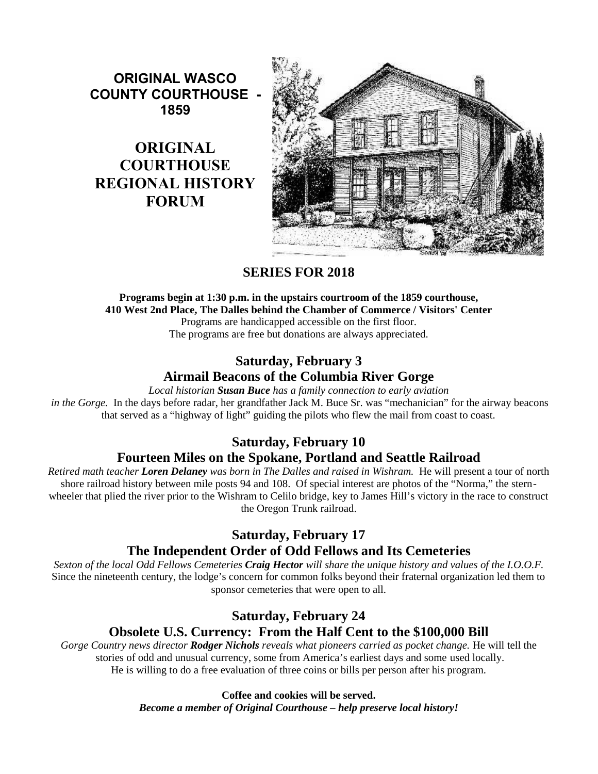**ORIGINAL WASCO COUNTY COURTHOUSE - 1859**

# **ORIGINAL COURTHOUSE REGIONAL HISTORY FORUM**



# **SERIES FOR 2018**

# **Programs begin at 1:30 p.m. in the upstairs courtroom of the 1859 courthouse, 410 West 2nd Place, The Dalles behind the Chamber of Commerce / Visitors' Center**

Programs are handicapped accessible on the first floor.

The programs are free but donations are always appreciated.

# **Saturday, February 3 Airmail Beacons of the Columbia River Gorge**

*Local historian Susan Buce has a family connection to early aviation*

 *in the Gorge.* In the days before radar, her grandfather Jack M. Buce Sr. was "mechanician" for the airway beacons that served as a "highway of light" guiding the pilots who flew the mail from coast to coast.

# **Saturday, February 10**

# **Fourteen Miles on the Spokane, Portland and Seattle Railroad**

*Retired math teacher Loren Delaney was born in The Dalles and raised in Wishram.* He will present a tour of north shore railroad history between mile posts 94 and 108. Of special interest are photos of the "Norma," the stern wheeler that plied the river prior to the Wishram to Celilo bridge, key to James Hill's victory in the race to construct the Oregon Trunk railroad.

# **Saturday, February 17**

# **The Independent Order of Odd Fellows and Its Cemeteries**

*Sexton of the local Odd Fellows Cemeteries Craig Hector will share the unique history and values of the I.O.O.F.* Since the nineteenth century, the lodge's concern for common folks beyond their fraternal organization led them to sponsor cemeteries that were open to all.

# **Saturday, February 24**

# **Obsolete U.S. Currency: From the Half Cent to the \$100,000 Bill**

*Gorge Country news director Rodger Nichols reveals what pioneers carried as pocket change.* He will tell the stories of odd and unusual currency, some from America's earliest days and some used locally. He is willing to do a free evaluation of three coins or bills per person after his program.

# **Coffee and cookies will be served.**

*Become a member of Original Courthouse – help preserve local history!*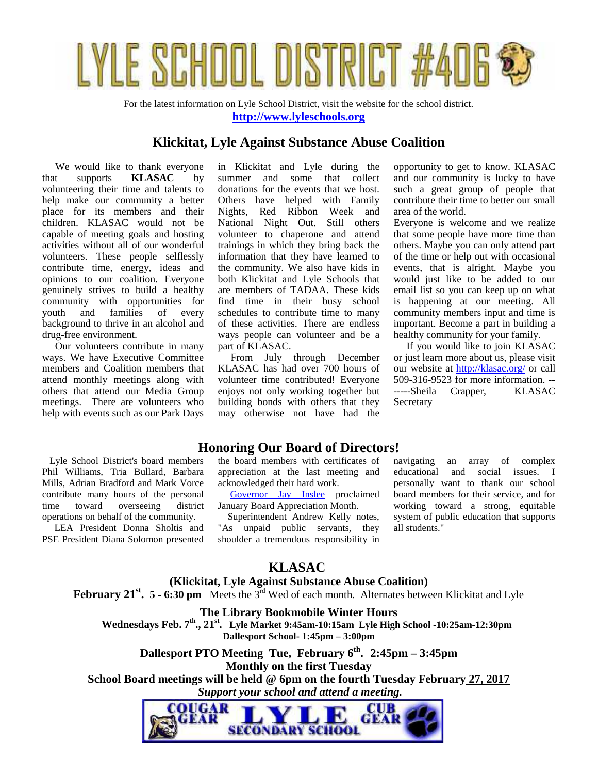

For the latest information on Lyle School District, visit the website for the school district. **http://www.lyleschools.org**

## **Klickitat, Lyle Against Substance Abuse Coalition**

 We would like to thank everyone that supports **KLASAC** by volunteering their time and talents to help make our community a better place for its members and their children. KLASAC would not be capable of meeting goals and hosting activities without all of our wonderful volunteers. These people selflessly contribute time, energy, ideas and opinions to our coalition. Everyone genuinely strives to build a healthy community with opportunities for youth and families of every background to thrive in an alcohol and drug-free environment.

 Our volunteers contribute in many ways. We have Executive Committee members and Coalition members that attend monthly meetings along with others that attend our Media Group meetings. There are volunteers who help with events such as our Park Days in Klickitat and Lyle during the summer and some that collect donations for the events that we host. Others have helped with Family Nights, Red Ribbon Week and National Night Out. Still others volunteer to chaperone and attend trainings in which they bring back the information that they have learned to the community. We also have kids in both Klickitat and Lyle Schools that are members of TADAA. These kids find time in their busy school schedules to contribute time to many of these activities. There are endless ways people can volunteer and be a part of KLASAC.

 From July through December KLASAC has had over 700 hours of volunteer time contributed! Everyone enjoys not only working together but building bonds with others that they may otherwise not have had the opportunity to get to know. KLASAC and our community is lucky to have such a great group of people that contribute their time to better our small area of the world.

Everyone is welcome and we realize that some people have more time than others. Maybe you can only attend part of the time or help out with occasional events, that is alright. Maybe you would just like to be added to our email list so you can keep up on what is happening at our meeting. All community members input and time is important. Become a part in building a healthy community for your family.

 If you would like to join KLASAC or just learn more about us, please visit our website at http://klasac.org/ or call 509-316-9523 for more information. -- -----Sheila Crapper, KLASAC Secretary

Lyle School District's board members Phil Williams, Tria Bullard, Barbara Mills, Adrian Bradford and Mark Vorce contribute many hours of the personal time toward overseeing district operations on behalf of the community.

 LEA President Donna Sholtis and PSE President Diana Solomon presented

# **Honoring Our Board of Directors!**

the board members with certificates of appreciation at the last meeting and acknowledged their hard work.

Governor Jay Inslee proclaimed January Board Appreciation Month.

 Superintendent Andrew Kelly notes, "As unpaid public servants, they shoulder a tremendous responsibility in

an array of complex educational and social issues. I personally want to thank our school board members for their service, and for working toward a strong, equitable system of public education that supports all students."

# **KLASAC**

# **(Klickitat, Lyle Against Substance Abuse Coalition)**

**February 21st. 5 - 6:30 pm** Meets the 3rd Wed of each month. Alternates between Klickitat and Lyle

## **The Library Bookmobile Winter Hours**

**Wednesdays Feb. 7th ., 21 st. Lyle Market 9:45am-10:15am Lyle High School -10:25am-12:30pm Dallesport School- 1:45pm – 3:00pm**

**Dallesport PTO Meeting Tue, February 6th . 2:45pm – 3:45pm Monthly on the first Tuesday**

**School Board meetings will be held @ 6pm on the fourth Tuesday February 27, 2017**  *Support your school and attend a meeting.*

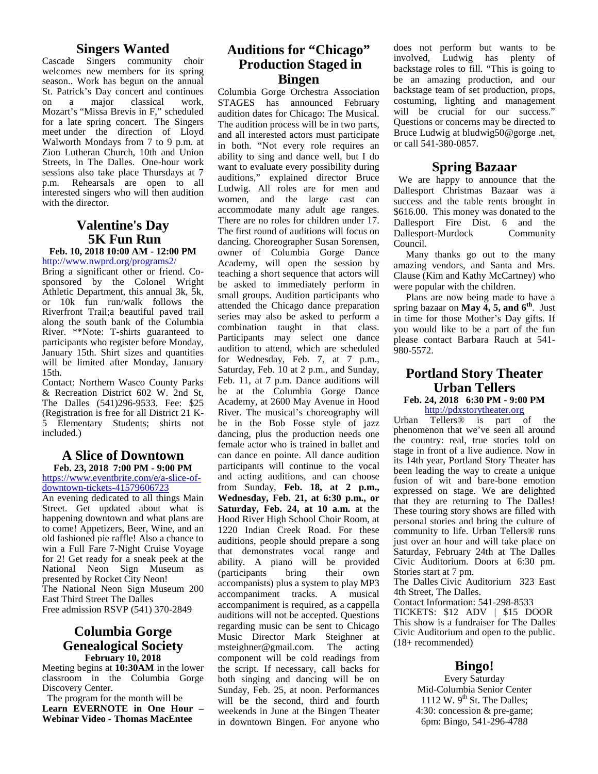## **Singers Wanted**

Cascade Singers community choir welcomes new members for its spring season.. Work has begun on the annual St. Patrick's Day concert and continues<br>on a major classical work. on a major classical Mozart's "Missa Brevis in F," scheduled for a late spring concert. The Singers meet under the direction of Lloyd Walworth Mondays from 7 to 9 p.m. at Zion Lutheran Church, 10th and Union Streets, in The Dalles. One-hour work sessions also take place Thursdays at 7<br>p.m. Rehearsals are open to all Rehearsals are open to all interested singers who will then audition with the director.

## **Valentine's Day 5K Fun Run**

#### **Feb. 10, 2018 10:00 AM - 12:00 PM** http://www.nwprd.org/programs2/

Bring a significant other or friend. Co sponsored by the Colonel Wright Athletic Department, this annual 3k, 5k, or 10k fun run/walk follows the Riverfront Trail;a beautiful paved trail along the south bank of the Columbia River. \*\*Note: T-shirts guaranteed to participants who register before Monday, January 15th. Shirt sizes and quantities will be limited after Monday, January 15th.

Contact: Northern Wasco County Parks & Recreation District 602 W. 2nd St, The Dalles (541)296-9533. Fee: \$25 (Registration is free for all District 21 K- 5 Elementary Students; shirts not included.)

#### **A Slice of Downtown Feb. 23, 2018 7:00 PM - 9:00 PM**

https://www.eventbrite.com/e/a-slice-of downtown-tickets-41579606723

An evening dedicated to all things Main Street. Get updated about what is happening downtown and what plans are to come! Appetizers, Beer, Wine, and an old fashioned pie raffle! Also a chance to win a Full Fare 7-Night Cruise Voyage for 2! Get ready for a sneak peek at the National Neon Sign Museum as presented by Rocket City Neon! The National Neon Sign Museum 200 East Third Street The Dalles Free admission RSVP (541) 370-2849

#### **Columbia Gorge Genealogical Society February 10, 2018**

Meeting begins at **10:30AM** in the lower classroom in the Columbia Gorge Discovery Center.

The program for the month will be **Learn EVERNOTE in One Hour – Webinar Video - Thomas MacEntee**

# **Auditions for "Chicago" Production Staged in Bingen**

Columbia Gorge Orchestra Association STAGES has announced February audition dates for Chicago: The Musical. The audition process will be in two parts, and all interested actors must participate in both. "Not every role requires an ability to sing and dance well, but I do want to evaluate every possibility during auditions," explained director Bruce Ludwig. All roles are for men and women, and the large cast can accommodate many adult age ranges. There are no roles for children under 17. The first round of auditions will focus on dancing. Choreographer Susan Sorensen, owner of Columbia Gorge Dance Academy, will open the session by teaching a short sequence that actors will be asked to immediately perform in small groups. Audition participants who attended the Chicago dance preparation series may also be asked to perform a combination taught in that class. Participants may select one dance audition to attend, which are scheduled for Wednesday, Feb. 7, at 7 p.m., Saturday, Feb. 10 at 2 p.m., and Sunday, Feb. 11, at 7 p.m. Dance auditions will be at the Columbia Gorge Dance Academy, at 2600 May Avenue in Hood River. The musical's choreography will<br>he in the Bob Eosse style of jazz Urban be in the Bob Fosse style of jazz dancing, plus the production needs one female actor who is trained in ballet and can dance en pointe. All dance audition participants will continue to the vocal and acting auditions, and can choose from Sunday, **Feb. 18, at 2 p.m., Wednesday, Feb. 21, at 6:30 p.m., or Saturday, Feb. 24, at 10 a.m.** at the Hood River High School Choir Room, at 1220 Indian Creek Road. For these auditions, people should prepare a song that demonstrates vocal range and ability. A piano will be provided (participants bring their own accompanists) plus a system to play MP3 accompaniment tracks. A musical accompaniment is required, as a cappella auditions will not be accepted. Questions regarding music can be sent to Chicago Music Director Mark Steighner at msteighner@gmail.com. The acting component will be cold readings from the script. If necessary, call backs for both singing and dancing will be on Sunday, Feb. 25, at noon. Performances will be the second, third and fourth weekends in June at the Bingen Theater in downtown Bingen. For anyone who

does not perform but wants to be involved, Ludwig has plenty of backstage roles to fill. "This is going to be an amazing production, and our backstage team of set production, props, costuming, lighting and management will be crucial for our success." Questions or concerns may be directed to Bruce Ludwig at bludwig50@gorge .net, or call 541-380-0857.

## **Spring Bazaar**

 We are happy to announce that the Dallesport Christmas Bazaar was a success and the table rents brought in \$616.00. This money was donated to the Dallesport Fire Dist. 6 and the Dallesport-Murdock Community Council.

 Many thanks go out to the many amazing vendors, and Santa and Mrs. Clause (Kim and Kathy McCartney) who were popular with the children.

 Plans are now being made to have a spring bazaar on **May 4, 5, and 6th**. Just in time for those Mother's Day gifts. If you would like to be a part of the fun please contact Barbara Rauch at 541- 980-5572.

### **Portland Story Theater Urban Tellers Feb. 24, 2018 6:30 PM - 9:00 PM**

http://pdxstorytheater.org

Tellers<sup>®</sup> is part of the phenomenon that we've seen all around the country: real, true stories told on stage in front of a live audience. Now in its 14th year, Portland Story Theater has been leading the way to create a unique fusion of wit and bare-bone emotion expressed on stage. We are delighted that they are returning to The Dalles! These touring story shows are filled with personal stories and bring the culture of community to life. Urban Tellers® runs just over an hour and will take place on Saturday, February 24th at The Dalles Civic Auditorium. Doors at 6:30 pm. Stories start at 7 pm.

The Dalles Civic Auditorium 323 East 4th Street, The Dalles.

Contact Information: 541-298-8533

TICKETS: \$12 ADV | \$15 DOOR This show is a fundraiser for The Dalles Civic Auditorium and open to the public. (18+ recommended)

## **Bingo!**

Every Saturday Mid-Columbia Senior Center 1112 W.  $9<sup>th</sup>$  St. The Dalles; 4:30: concession & pre-game; 6pm: Bingo, 541-296-4788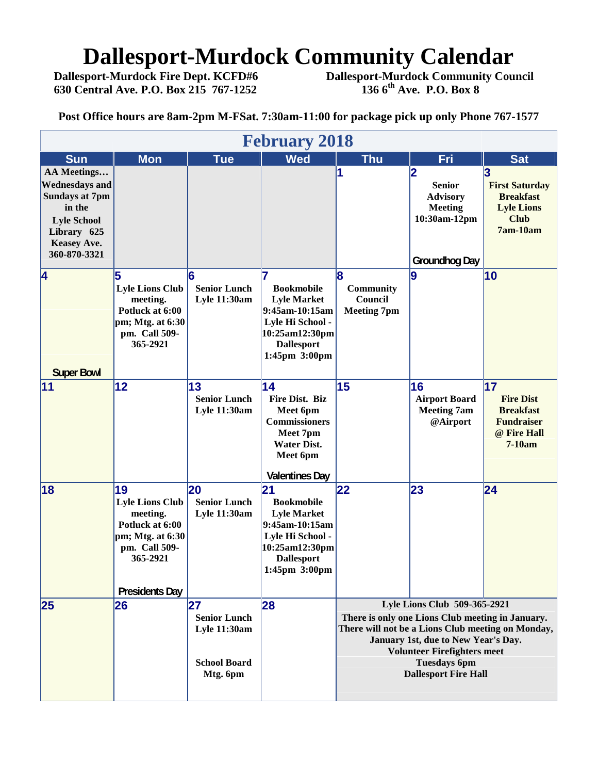# **Dallesport-Murdock Community Calendar**<br>Dallesport-Murdock Fire Dept. KCFD#6 Dallesport-Murdock Community Cour

 **630 Central Ave. P.O. Box 215 767-1252 136 6th Ave. P.O. Box 8**

 **Dallesport-Murdock Fire Dept. KCFD#6 Dallesport-Murdock Community Council**

**Post Office hours are 8am-2pm M-FSat. 7:30am-11:00 for package pick up only Phone 767-1577**

|                                                                                                                                                    |                                                                                                                                       |                                                                                     | <b>February 2018</b>                                                                                                                         |                                                                                                                                                                                                                                                                          |                                                                                                                       |                                                                                                  |  |  |  |
|----------------------------------------------------------------------------------------------------------------------------------------------------|---------------------------------------------------------------------------------------------------------------------------------------|-------------------------------------------------------------------------------------|----------------------------------------------------------------------------------------------------------------------------------------------|--------------------------------------------------------------------------------------------------------------------------------------------------------------------------------------------------------------------------------------------------------------------------|-----------------------------------------------------------------------------------------------------------------------|--------------------------------------------------------------------------------------------------|--|--|--|
| <b>Sun</b>                                                                                                                                         | <b>Mon</b>                                                                                                                            | <b>Tue</b>                                                                          | <b>Wed</b>                                                                                                                                   | <b>Thu</b>                                                                                                                                                                                                                                                               | Fri                                                                                                                   | <b>Sat</b>                                                                                       |  |  |  |
| AA Meetings<br><b>Wednesdays and</b><br><b>Sundays at 7pm</b><br>in the<br><b>Lyle School</b><br>Library 625<br><b>Keasey Ave.</b><br>360-870-3321 |                                                                                                                                       |                                                                                     |                                                                                                                                              | 1                                                                                                                                                                                                                                                                        | $\overline{\mathbf{2}}$<br><b>Senior</b><br><b>Advisory</b><br><b>Meeting</b><br>10:30am-12pm<br><b>Groundhog Day</b> | 3<br><b>First Saturday</b><br><b>Breakfast</b><br><b>Lyle Lions</b><br><b>Club</b><br>$7am-10am$ |  |  |  |
| $\overline{4}$<br><b>Super Bowl</b>                                                                                                                | 5<br><b>Lyle Lions Club</b><br>meeting.<br>Potluck at 6:00<br>pm; Mtg. at 6:30<br>pm. Call 509-<br>365-2921                           | <b>Senior Lunch</b><br><b>Lyle 11:30am</b>                                          | 7<br><b>Bookmobile</b><br><b>Lyle Market</b><br>9:45am-10:15am<br>Lyle Hi School -<br>10:25am12:30pm<br><b>Dallesport</b><br>1:45pm 3:00pm   | 18<br>Community<br>Council<br><b>Meeting 7pm</b>                                                                                                                                                                                                                         | 9                                                                                                                     | 10                                                                                               |  |  |  |
| 11                                                                                                                                                 | 12                                                                                                                                    | 13<br><b>Senior Lunch</b><br><b>Lyle 11:30am</b>                                    | $\overline{14}$<br>Fire Dist. Biz<br>Meet 6pm<br><b>Commissioners</b><br>Meet 7pm<br><b>Water Dist.</b><br>Meet 6pm<br><b>Valentines Day</b> | 15                                                                                                                                                                                                                                                                       | 16<br><b>Airport Board</b><br><b>Meeting 7am</b><br>@Airport                                                          | 17<br><b>Fire Dist</b><br><b>Breakfast</b><br><b>Fundraiser</b><br>@ Fire Hall<br>$7-10am$       |  |  |  |
| 18                                                                                                                                                 | 19<br><b>Lyle Lions Club</b><br>meeting.<br>Potluck at 6:00<br>pm; Mtg. at 6:30<br>pm. Call 509-<br>365-2921<br><b>Presidents Day</b> | 20<br><b>Senior Lunch</b><br><b>Lyle 11:30am</b>                                    | 21<br><b>Bookmobile</b><br><b>Lyle Market</b><br>9:45am-10:15am<br>Lyle Hi School -<br>10:25am12:30pm<br><b>Dallesport</b><br>1:45pm 3:00pm  | 22                                                                                                                                                                                                                                                                       | 23                                                                                                                    | $\overline{24}$                                                                                  |  |  |  |
| 25                                                                                                                                                 | 26                                                                                                                                    | 27<br><b>Senior Lunch</b><br><b>Lyle 11:30am</b><br><b>School Board</b><br>Mtg. 6pm | 28                                                                                                                                           | Lyle Lions Club 509-365-2921<br>There is only one Lions Club meeting in January.<br>There will not be a Lions Club meeting on Monday,<br>January 1st, due to New Year's Day.<br><b>Volunteer Firefighters meet</b><br><b>Tuesdays 6pm</b><br><b>Dallesport Fire Hall</b> |                                                                                                                       |                                                                                                  |  |  |  |